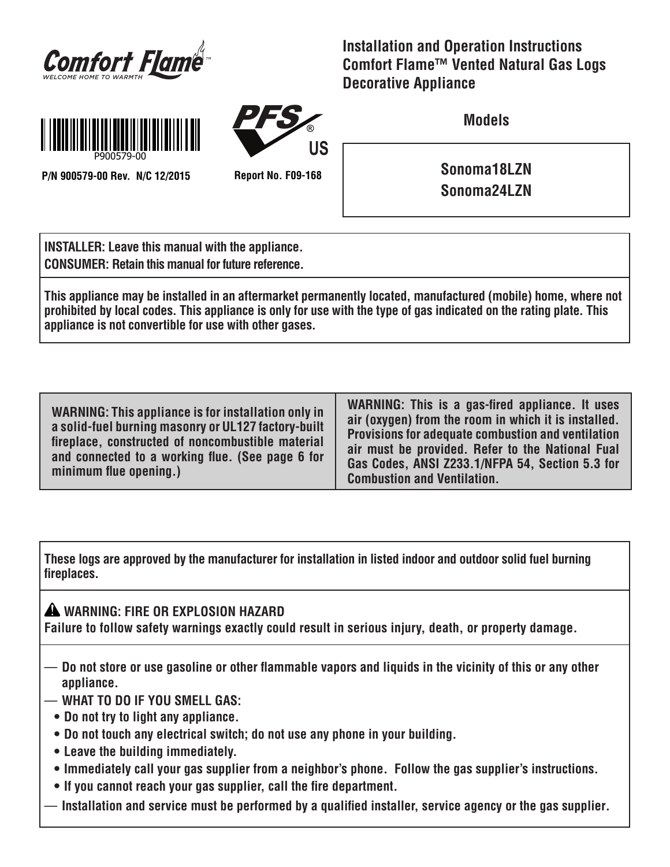

**Installation and Operation Instructions Comfort Flame™ Vented Natural Gas Logs Decorative Appliance**



**P/N 900579-00 Rev. N/C 12/2015 Report No. F09-168**

PFS **® US**

**Models**

**Sonoma18LZN Sonoma24LZN**

**INSTALLER: Leave this manual with the appliance. CONSUMER: Retain this manual for future reference.**

**This appliance may be installed in an aftermarket permanently located, manufactured (mobile) home, where not prohibited by local codes. This appliance is only for use with the type of gas indicated on the rating plate. This appliance is not convertible for use with other gases.**

**WARNING: This appliance is for installation only in a solid-fuel burning masonry or UL127 factory-built fireplace, constructed of noncombustible material and connected to a working flue. (See page 6 for minimum flue opening.)**

**WARNING: This is a gas-fired appliance. It uses air (oxygen) from the room in which it is installed. Provisions for adequate combustion and ventilation air must be provided. Refer to the National Fual Gas Codes, ANSI Z233.1/NFPA 54, Section 5.3 for Combustion and Ventilation.**

**These logs are approved by the manufacturer for installation in listed indoor and outdoor solid fuel burning fireplaces.**

**WARNING: FIRE OR EXPLOSION HAZARD Failure to follow safety warnings exactly could result in serious injury, death, or property damage.**

- **Do not store or use gasoline or other flammable vapors and liquids in the vicinity of this or any other appliance.**
- **WHAT TO DO IF YOU SMELL GAS:** 
	- **Do not try to light any appliance.**
	- **Do not touch any electrical switch; do not use any phone in your building.**
	- **Leave the building immediately.**
	- **• Immediately call your gas supplier from a neighbor's phone. Follow the gas supplier's instructions.**
	- **If you cannot reach your gas supplier, call the fire department.**
- **Installation and service must be performed by a qualified installer, service agency or the gas supplier.**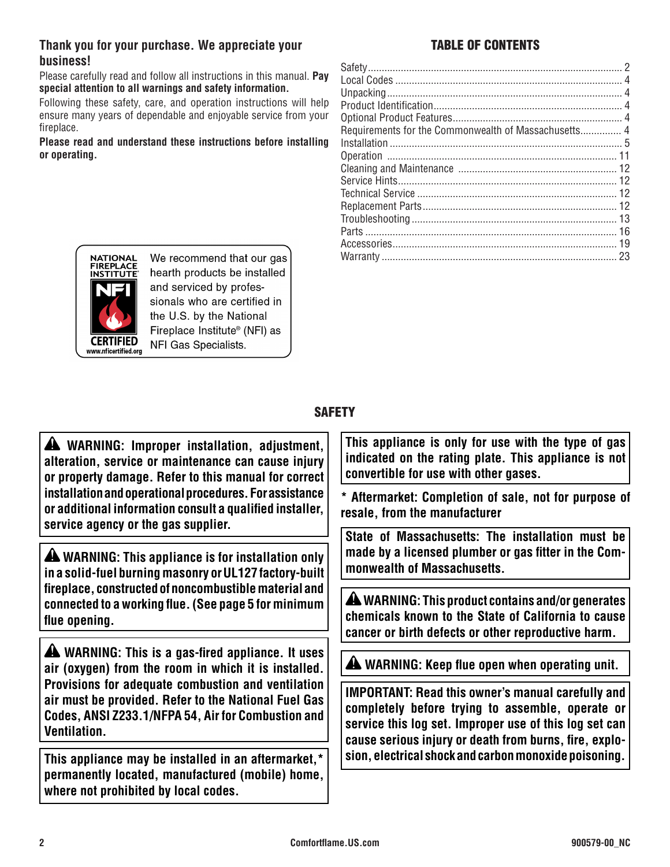### **Thank you for your purchase. We appreciate your** TABLE OF CONTENTS **business!**

Please carefully read and follow all instructions in this manual. **Pay special attention to all warnings and safety information.**

Following these safety, care, and operation instructions will help ensure many years of dependable and enjoyable service from your fireplace.

**Please read and understand these instructions before installing or operating.**



We recommend that our gas hearth products be installed and serviced by professionals who are certified in the U.S. by the National Fireplace Institute<sup>®</sup> (NFI) as NFI Gas Specialists.

## **SAFETY**

 **WARNING: Improper installation, adjustment, alteration, service or maintenance can cause injury or property damage. Refer to this manual for correct installation and operational procedures. For assistance or additional information consult a qualified installer, service agency or the gas supplier.**

 **WARNING: This appliance is for installation only in a solid-fuel burning masonry or UL127 factory-built fireplace, constructed of noncombustible material and connected to a working flue. (See page 5 for minimum flue opening.**

 **WARNING: This is a gas-fired appliance. It uses air (oxygen) from the room in which it is installed. Provisions for adequate combustion and ventilation air must be provided. Refer to the National Fuel Gas Codes, ANSI Z233.1/NFPA 54, Air for Combustion and Ventilation.**

**This appliance may be installed in an aftermarket,\* permanently located, manufactured (mobile) home, where not prohibited by local codes.**

**This appliance is only for use with the type of gas indicated on the rating plate. This appliance is not convertible for use with other gases.** 

**\* Aftermarket: Completion of sale, not for purpose of resale, from the manufacturer**

**State of Massachusetts: The installation must be made by a licensed plumber or gas fitter in the Commonwealth of Massachusetts.**

 **WARNING: This product contains and/or generates chemicals known to the State of California to cause cancer or birth defects or other reproductive harm.**

 **WARNING: Keep flue open when operating unit.**

**IMPORTANT: Read this owner's manual carefully and completely before trying to assemble, operate or service this log set. Improper use of this log set can cause serious injury or death from burns, fire, explosion, electrical shock and carbon monoxide poisoning.**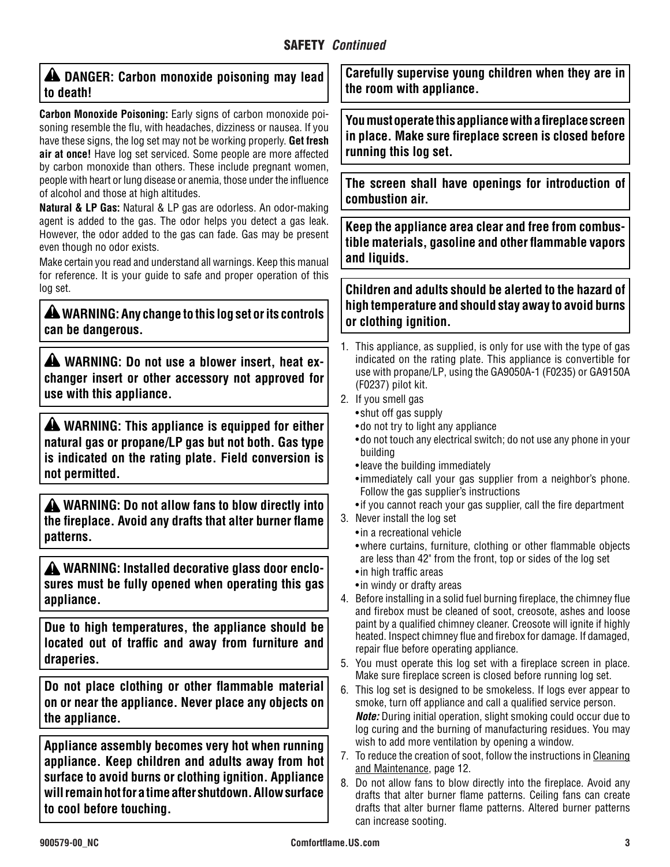| A DANGER: Carbon monoxide poisoning may lead |  |  |  |
|----------------------------------------------|--|--|--|
| to death!                                    |  |  |  |

**Carbon Monoxide Poisoning:** Early signs of carbon monoxide poisoning resemble the flu, with headaches, dizziness or nausea. If you have these signs, the log set may not be working properly. **Get fresh air at once!** Have log set serviced. Some people are more affected by carbon monoxide than others. These include pregnant women, people with heart or lung disease or anemia, those under the influence of alcohol and those at high altitudes.

**Natural & LP Gas:** Natural & LP gas are odorless. An odor-making agent is added to the gas. The odor helps you detect a gas leak. However, the odor added to the gas can fade. Gas may be present even though no odor exists.

Make certain you read and understand all warnings. Keep this manual for reference. It is your guide to safe and proper operation of this log set.

 **WARNING: Any change to this log set or its controls can be dangerous.**

**A** WARNING: Do not use a blower insert, heat ex**changer insert or other accessory not approved for use with this appliance.**

**A** WARNING: This appliance is equipped for either **natural gas or propane/LP gas but not both. Gas type is indicated on the rating plate. Field conversion is not permitted.**

 **WARNING: Do not allow fans to blow directly into the fireplace. Avoid any drafts that alter burner flame patterns.**

**A** WARNING: Installed decorative glass door enclo**sures must be fully opened when operating this gas appliance.**

**Due to high temperatures, the appliance should be located out of traffic and away from furniture and draperies.**

**Do not place clothing or other flammable material on or near the appliance. Never place any objects on the appliance.**

**Appliance assembly becomes very hot when running appliance. Keep children and adults away from hot surface to avoid burns or clothing ignition. Appliance will remain hot for a time after shutdown. Allow surface to cool before touching.**

**Carefully supervise young children when they are in the room with appliance.**

**You must operate this appliance with a fireplace screen in place. Make sure fireplace screen is closed before running this log set.**

**The screen shall have openings for introduction of combustion air.**

**Keep the appliance area clear and free from combustible materials, gasoline and other flammable vapors and liquids.**

**Children and adults should be alerted to the hazard of high temperature and should stay away to avoid burns or clothing ignition.**

- 1. This appliance, as supplied, is only for use with the type of gas indicated on the rating plate. This appliance is convertible for use with propane/LP, using the GA9050A-1 (F0235) or GA9150A (F0237) pilot kit.
- 2. If you smell gas
	- shut off gas supply
	- do not try to light any appliance
	- • do not touch any electrical switch; do not use any phone in your building
	- leave the building immediately
	- immediately call your gas supplier from a neighbor's phone. Follow the gas supplier's instructions
	- if you cannot reach your gas supplier, call the fire department
- 3. Never install the log set
	- in a recreational vehicle
	- where curtains, furniture, clothing or other flammable objects are less than 42" from the front, top or sides of the log set
	- in high traffic areas
	- in windy or drafty areas
- 4. Before installing in a solid fuel burning fireplace, the chimney flue and firebox must be cleaned of soot, creosote, ashes and loose paint by a qualified chimney cleaner. Creosote will ignite if highly heated. Inspect chimney flue and firebox for damage. If damaged, repair flue before operating appliance.
- 5. You must operate this log set with a fireplace screen in place. Make sure fireplace screen is closed before running log set.
- 6. This log set is designed to be smokeless. If logs ever appear to smoke, turn off appliance and call a qualified service person. *Note:* During initial operation, slight smoking could occur due to log curing and the burning of manufacturing residues. You may wish to add more ventilation by opening a window.
- 7. To reduce the creation of soot, follow the instructions in Cleaning and Maintenance, page 12.
- 8. Do not allow fans to blow directly into the fireplace. Avoid any drafts that alter burner flame patterns. Ceiling fans can create drafts that alter burner flame patterns. Altered burner patterns can increase sooting.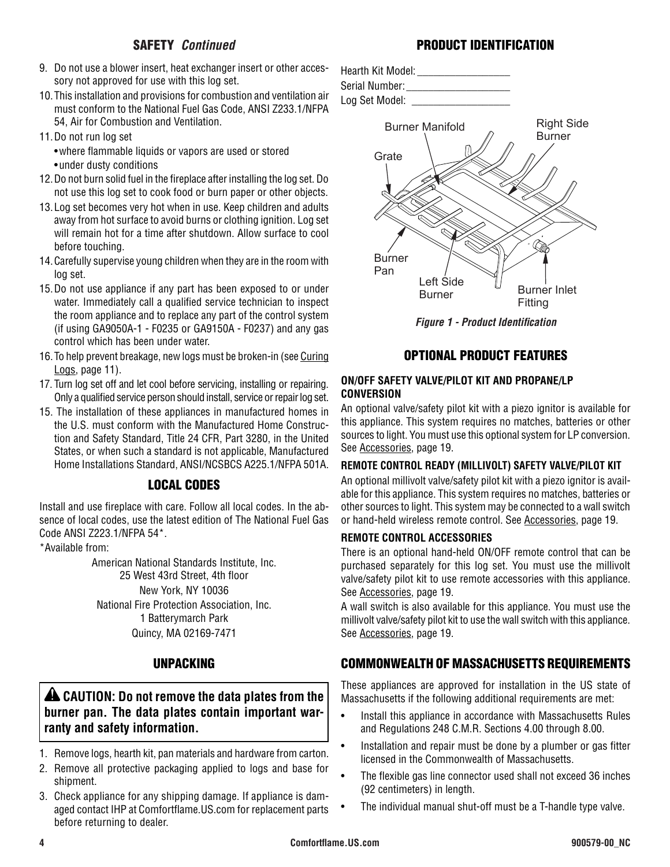- 9. Do not use a blower insert, heat exchanger insert or other accessory not approved for use with this log set.
- 10.This installation and provisions for combustion and ventilation air must conform to the National Fuel Gas Code, ANSI Z233.1/NFPA 54, Air for Combustion and Ventilation.
- 11.Do not run log set
	- • where flammable liquids or vapors are used or stored
	- under dusty conditions
- 12.Do not burn solid fuel in the fireplace after installing the log set. Do not use this log set to cook food or burn paper or other objects.
- 13.Log set becomes very hot when in use. Keep children and adults away from hot surface to avoid burns or clothing ignition. Log set will remain hot for a time after shutdown. Allow surface to cool before touching.
- 14.Carefully supervise young children when they are in the room with log set.
- 15.Do not use appliance if any part has been exposed to or under water. Immediately call a qualified service technician to inspect the room appliance and to replace any part of the control system (if using GA9050A-1 - F0235 or GA9150A - F0237) and any gas control which has been under water.
- 16.To help prevent breakage, new logs must be broken-in (see Curing Logs, page 11).
- 17. Turn log set off and let cool before servicing, installing or repairing. Only a qualified service person should install, service or repair log set.
- 15. The installation of these appliances in manufactured homes in the U.S. must conform with the Manufactured Home Construction and Safety Standard, Title 24 CFR, Part 3280, in the United States, or when such a standard is not applicable, Manufactured Home Installations Standard, ANSI/NCSBCS A225.1/NFPA 501A.

## LOCAL CODES

Install and use fireplace with care. Follow all local codes. In the absence of local codes, use the latest edition of The National Fuel Gas Code ANSI Z223.1/NFPA 54\*.

\*Available from:

American National Standards Institute, Inc. 25 West 43rd Street, 4th floor New York, NY 10036 National Fire Protection Association, Inc. 1 Batterymarch Park Quincy, MA 02169-7471

## UNPACKING

## **ALCAUTION: Do not remove the data plates from the burner pan. The data plates contain important warranty and safety information.**

- 1. Remove logs, hearth kit, pan materials and hardware from carton.
- 2. Remove all protective packaging applied to logs and base for shipment.
- 3. Check appliance for any shipping damage. If appliance is damaged contact IHP at Comfortflame.US.com for replacement parts before returning to dealer.



### OPTIONAL PRODUCT FEATURES

#### **ON/OFF SAFETY VALVE/PILOT KIT AND PROPANE/LP CONVERSION**

An optional valve/safety pilot kit with a piezo ignitor is available for this appliance. This system requires no matches, batteries or other sources to light. You must use this optional system for LP conversion. See Accessories, page 19.

#### **REMOTE CONTROL READY (MILLIVOLT) SAFETY VALVE/PILOT KIT**

An optional millivolt valve/safety pilot kit with a piezo ignitor is available for this appliance. This system requires no matches, batteries or other sources to light. This system may be connected to a wall switch or hand-held wireless remote control. See Accessories, page 19.

#### **REMOTE CONTROL ACCESSORIES**

There is an optional hand-held ON/OFF remote control that can be purchased separately for this log set. You must use the millivolt valve/safety pilot kit to use remote accessories with this appliance. See Accessories, page 19.

A wall switch is also available for this appliance. You must use the millivolt valve/safety pilot kit to use the wall switch with this appliance. See Accessories, page 19.

## COMMONWEALTH OF MASSACHUSETTS REQUIREMENTS

These appliances are approved for installation in the US state of Massachusetts if the following additional requirements are met:

- Install this appliance in accordance with Massachusetts Rules and Regulations 248 C.M.R. Sections 4.00 through 8.00.
- Installation and repair must be done by a plumber or gas fitter licensed in the Commonwealth of Massachusetts.
- The flexible gas line connector used shall not exceed 36 inches (92 centimeters) in length.
- The individual manual shut-off must be a T-handle type valve.

## PRODUCT IDENTIFICATION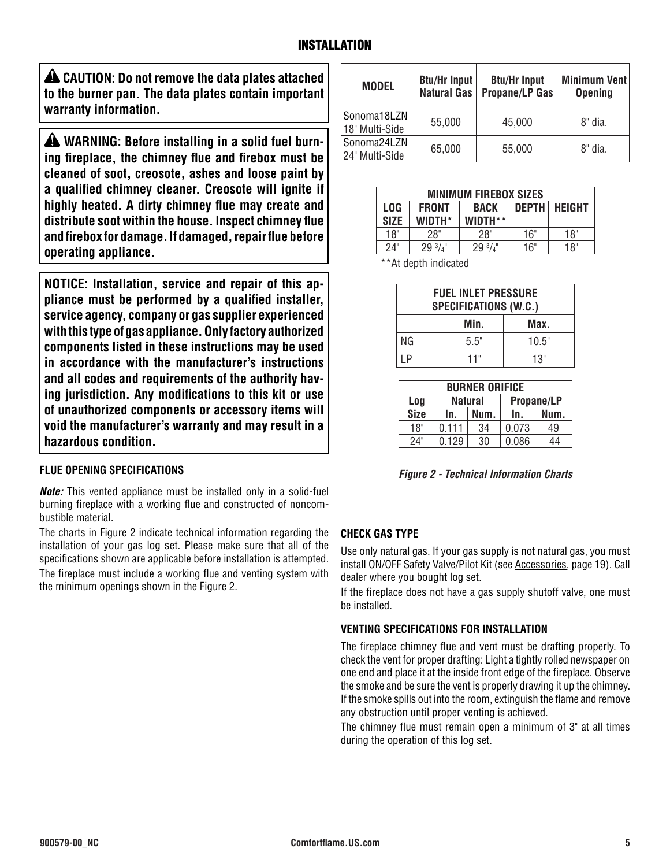**CAUTION: Do not remove the data plates attached to the burner pan. The data plates contain important warranty information.**

**A** WARNING: Before installing in a solid fuel burn**ing fireplace, the chimney flue and firebox must be cleaned of soot, creosote, ashes and loose paint by a qualified chimney cleaner. Creosote will ignite if highly heated. A dirty chimney flue may create and distribute soot within the house. Inspect chimney flue and firebox for damage. If damaged, repair flue before operating appliance.**

**NOTICE: Installation, service and repair of this appliance must be performed by a qualified installer, service agency, company or gas supplier experienced with this type of gas appliance. Only factory authorized components listed in these instructions may be used in accordance with the manufacturer's instructions and all codes and requirements of the authority having jurisdiction. Any modifications to this kit or use of unauthorized components or accessory items will void the manufacturer's warranty and may result in a hazardous condition.**

### **FLUE OPENING SPECIFICATIONS**

*Note:* This vented appliance must be installed only in a solid-fuel burning fireplace with a working flue and constructed of noncombustible material.

The charts in Figure 2 indicate technical information regarding the installation of your gas log set. Please make sure that all of the specifications shown are applicable before installation is attempted.

The fireplace must include a working flue and venting system with the minimum openings shown in the Figure 2.

| <b>MODEL</b>                  | <b>Btu/Hr Input</b><br><b>Natural Gas</b> | <b>Btu/Hr Input</b><br><b>Propane/LP Gas</b> | <b>Minimum Vent</b><br><b>Opening</b> |
|-------------------------------|-------------------------------------------|----------------------------------------------|---------------------------------------|
| Sonoma18LZN<br>18" Multi-Side | 55,000                                    | 45,000                                       | 8" dia.                               |
| Sonoma24LZN<br>24" Multi-Side | 65,000                                    | 55,000                                       | 8" dia.                               |

| <b>MINIMUM FIREBOX SIZES</b>              |                   |                 |              |               |
|-------------------------------------------|-------------------|-----------------|--------------|---------------|
| <b>LOG</b><br><b>FRONT</b><br><b>BACK</b> |                   |                 | <b>DEPTH</b> | <b>HEIGHT</b> |
| <b>SIZE</b>                               | WIDTH*            | WIDTH**         |              |               |
| 18"                                       | 28"               | 28"             | 16"          | 18"           |
| 24"                                       | $29\frac{3}{4}$ " | $29\frac{3}{4}$ | 16"          | 18"           |
|                                           |                   |                 |              |               |

\*\*At depth indicated

| <b>FUEL INLET PRESSURE</b><br><b>SPECIFICATIONS (W.C.)</b> |      |       |
|------------------------------------------------------------|------|-------|
|                                                            | Min. | Max.  |
| NG                                                         | 5.5" | 10.5" |
| l P                                                        | 11"  | 13"   |

| <b>BURNER ORIFICE</b>               |       |      |       |      |
|-------------------------------------|-------|------|-------|------|
| <b>Natural</b><br>Propane/LP<br>Log |       |      |       |      |
| <b>Size</b>                         | In.   | Num. | In.   | Num. |
| 18"                                 | 0.111 | 34   | 0.073 | 49   |
| 24"                                 | 0.129 | 30   | 0.086 | 44   |

*Figure 2 - Technical Information Charts*

#### **CHECK GAS TYPE**

Use only natural gas. If your gas supply is not natural gas, you must install ON/OFF Safety Valve/Pilot Kit (see Accessories, page 19). Call dealer where you bought log set.

If the fireplace does not have a gas supply shutoff valve, one must be installed.

#### **VENTING SPECIFICATIONS FOR INSTALLATION**

The fireplace chimney flue and vent must be drafting properly. To check the vent for proper drafting: Light a tightly rolled newspaper on one end and place it at the inside front edge of the fireplace. Observe the smoke and be sure the vent is properly drawing it up the chimney. If the smoke spills out into the room, extinguish the flame and remove any obstruction until proper venting is achieved.

The chimney flue must remain open a minimum of 3" at all times during the operation of this log set.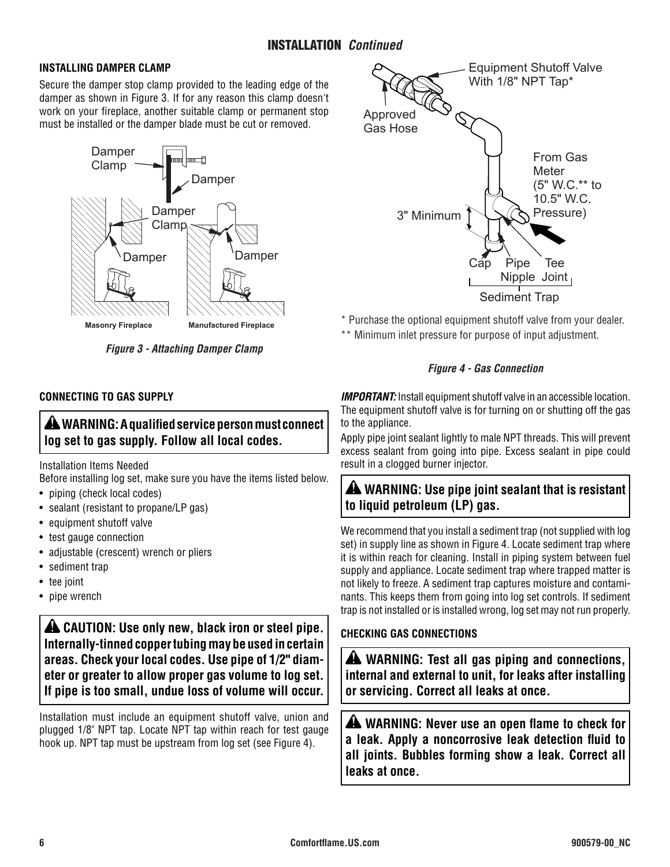#### **INSTALLING DAMPER CLAMP**

Secure the damper stop clamp provided to the leading edge of the damper as shown in Figure 3. If for any reason this clamp doesn't work on your fireplace, another suitable clamp or permanent stop must be installed or the damper blade must be cut or removed.



*Figure 3 - Attaching Damper Clamp*

### **CONNECTING TO GAS SUPPLY**

## **WARNING: A qualified service person must connect log set to gas supply. Follow all local codes.**

Installation Items Needed

Before installing log set, make sure you have the items listed below.

- piping (check local codes)
- sealant (resistant to propane/LP gas)
- equipment shutoff valve
- test gauge connection
- adjustable (crescent) wrench or pliers
- sediment trap
- tee joint
- pipe wrench

**AL CAUTION: Use only new, black iron or steel pipe. Internally-tinned copper tubing may be used in certain areas. Check your local codes. Use pipe of 1/2" diameter or greater to allow proper gas volume to log set. If pipe is too small, undue loss of volume will occur.**

Installation must include an equipment shutoff valve, union and plugged 1/8" NPT tap. Locate NPT tap within reach for test gauge hook up. NPT tap must be upstream from log set (see Figure 4).



- \* Purchase the optional equipment shutoff valve from your dealer.
- \*\* Minimum inlet pressure for purpose of input adjustment.

#### *Figure 4 - Gas Connection*

*IMPORTANT:* Install equipment shutoff valve in an accessible location. The equipment shutoff valve is for turning on or shutting off the gas to the appliance.

Apply pipe joint sealant lightly to male NPT threads. This will prevent excess sealant from going into pipe. Excess sealant in pipe could result in a clogged burner injector.

## **WARNING: Use pipe joint sealant that is resistant to liquid petroleum (LP) gas.**

We recommend that you install a sediment trap (not supplied with log set) in supply line as shown in Figure 4. Locate sediment trap where it is within reach for cleaning. Install in piping system between fuel supply and appliance. Locate sediment trap where trapped matter is not likely to freeze. A sediment trap captures moisture and contaminants. This keeps them from going into log set controls. If sediment trap is not installed or is installed wrong, log set may not run properly.

### **CHECKING GAS CONNECTIONS**

 **WARNING: Test all gas piping and connections, internal and external to unit, for leaks after installing or servicing. Correct all leaks at once.**

**A** WARNING: Never use an open flame to check for **a leak. Apply a noncorrosive leak detection fluid to all joints. Bubbles forming show a leak. Correct all leaks at once.**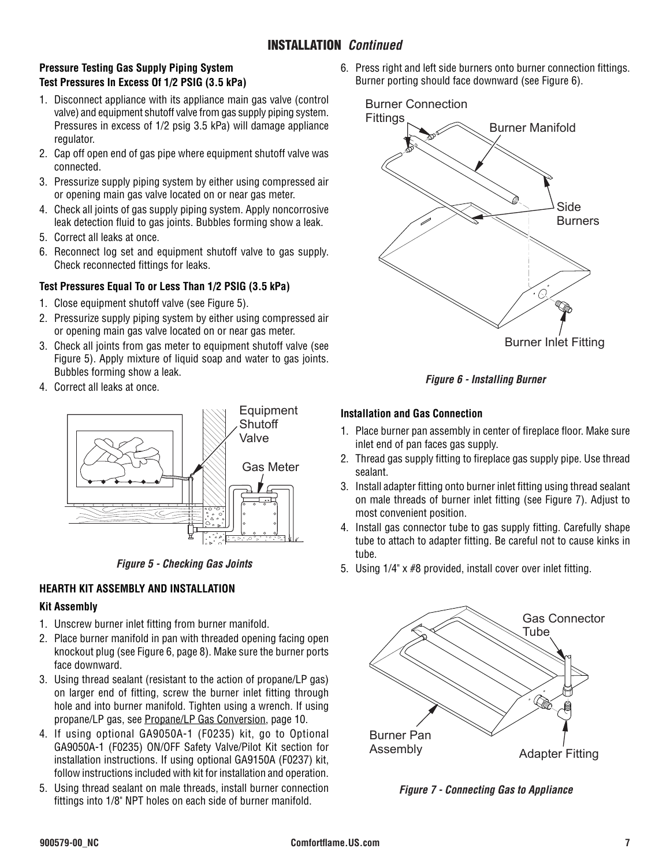### INSTALLATION *Continued*

#### **Pressure Testing Gas Supply Piping System Test Pressures In Excess Of 1/2 PSIG (3.5 kPa)**

- 1. Disconnect appliance with its appliance main gas valve (control valve) and equipment shutoff valve from gas supply piping system. Pressures in excess of 1/2 psig 3.5 kPa) will damage appliance regulator.
- 2. Cap off open end of gas pipe where equipment shutoff valve was connected.
- 3. Pressurize supply piping system by either using compressed air or opening main gas valve located on or near gas meter.
- 4. Check all joints of gas supply piping system. Apply noncorrosive leak detection fluid to gas joints. Bubbles forming show a leak.
- 5. Correct all leaks at once.
- 6. Reconnect log set and equipment shutoff valve to gas supply. Check reconnected fittings for leaks.

#### **Test Pressures Equal To or Less Than 1/2 PSIG (3.5 kPa)**

- 1. Close equipment shutoff valve (see Figure 5).
- 2. Pressurize supply piping system by either using compressed air or opening main gas valve located on or near gas meter.
- 3. Check all joints from gas meter to equipment shutoff valve (see Figure 5). Apply mixture of liquid soap and water to gas joints. Bubbles forming show a leak.
- 4. Correct all leaks at once.



*Figure 5 - Checking Gas Joints*

#### **HEARTH KIT ASSEMBLY AND INSTALLATION**

#### **Kit Assembly**

- 1. Unscrew burner inlet fitting from burner manifold.
- 2. Place burner manifold in pan with threaded opening facing open knockout plug (see Figure 6, page 8). Make sure the burner ports face downward.
- 3. Using thread sealant (resistant to the action of propane/LP gas) on larger end of fitting, screw the burner inlet fitting through hole and into burner manifold. Tighten using a wrench. If using propane/LP gas, see Propane/LP Gas Conversion, page 10.
- 4. If using optional GA9050A-1 (F0235) kit, go to Optional GA9050A-1 (F0235) ON/OFF Safety Valve/Pilot Kit section for installation instructions. If using optional GA9150A (F0237) kit, follow instructions included with kit for installation and operation.
- 5. Using thread sealant on male threads, install burner connection fittings into 1/8" NPT holes on each side of burner manifold.

6. Press right and left side burners onto burner connection fittings. Burner porting should face downward (see Figure 6).



*Figure 6 - Installing Burner*

#### **Installation and Gas Connection**

- 1. Place burner pan assembly in center of fireplace floor. Make sure inlet end of pan faces gas supply.
- 2. Thread gas supply fitting to fireplace gas supply pipe. Use thread sealant.
- 3. Install adapter fitting onto burner inlet fitting using thread sealant on male threads of burner inlet fitting (see Figure 7). Adjust to most convenient position.
- 4. Install gas connector tube to gas supply fitting. Carefully shape tube to attach to adapter fitting. Be careful not to cause kinks in tube.
- 5. Using 1/4" x #8 provided, install cover over inlet fitting.



*Figure 7 - Connecting Gas to Appliance*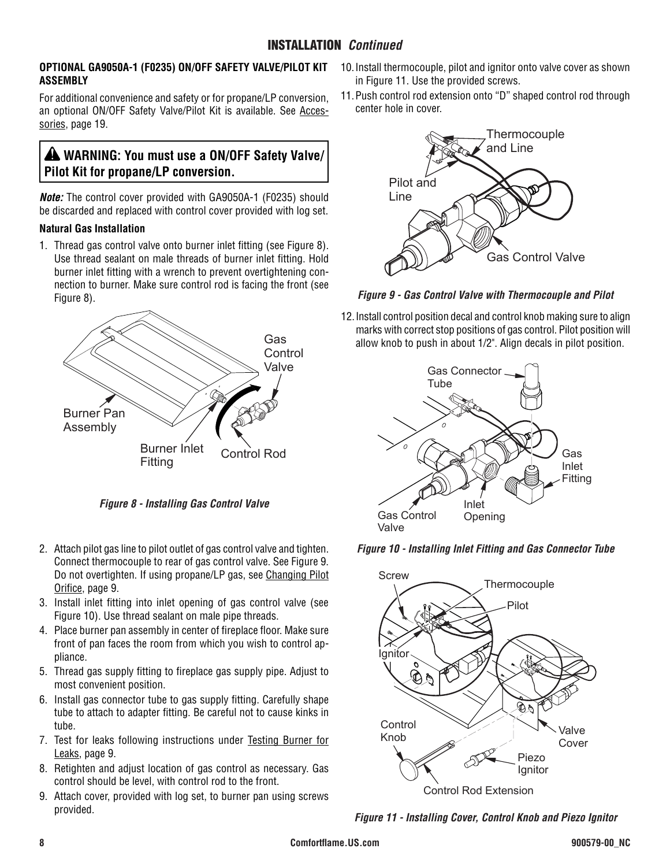#### **OPTIONAL GA9050A-1 (F0235) ON/OFF SAFETY VALVE/PILOT KIT ASSEMBLY**

For additional convenience and safety or for propane/LP conversion, an optional ON/OFF Safety Valve/Pilot Kit is available. See Accessories, page 19.

## **WARNING: You must use a ON/OFF Safety Valve/ Pilot Kit for propane/LP conversion.**

*Note:* The control cover provided with GA9050A-1 (F0235) should be discarded and replaced with control cover provided with log set.

### **Natural Gas Installation**

1. Thread gas control valve onto burner inlet fitting (see Figure 8). Use thread sealant on male threads of burner inlet fitting. Hold burner inlet fitting with a wrench to prevent overtightening connection to burner. Make sure control rod is facing the front (see Figure 8).



*Figure 8 - Installing Gas Control Valve*

- 2. Attach pilot gas line to pilot outlet of gas control valve and tighten. Connect thermocouple to rear of gas control valve. See Figure 9. Do not overtighten. If using propane/LP gas, see Changing Pilot Orifice, page 9.
- 3. Install inlet fitting into inlet opening of gas control valve (see Figure 10). Use thread sealant on male pipe threads.
- 4. Place burner pan assembly in center of fireplace floor. Make sure front of pan faces the room from which you wish to control appliance.
- 5. Thread gas supply fitting to fireplace gas supply pipe. Adjust to most convenient position.
- 6. Install gas connector tube to gas supply fitting. Carefully shape tube to attach to adapter fitting. Be careful not to cause kinks in tube.
- 7. Test for leaks following instructions under Testing Burner for Leaks, page 9.
- 8. Retighten and adjust location of gas control as necessary. Gas control should be level, with control rod to the front.
- 9. Attach cover, provided with log set, to burner pan using screws provided.
- 10.Install thermocouple, pilot and ignitor onto valve cover as shown in Figure 11. Use the provided screws.
- 11.Push control rod extension onto "D" shaped control rod through center hole in cover.



*Figure 9 - Gas Control Valve with Thermocouple and Pilot* 

12.Install control position decal and control knob making sure to align marks with correct stop positions of gas control. Pilot position will allow knob to push in about 1/2". Align decals in pilot position.







*Figure 11 - Installing Cover, Control Knob and Piezo Ignitor*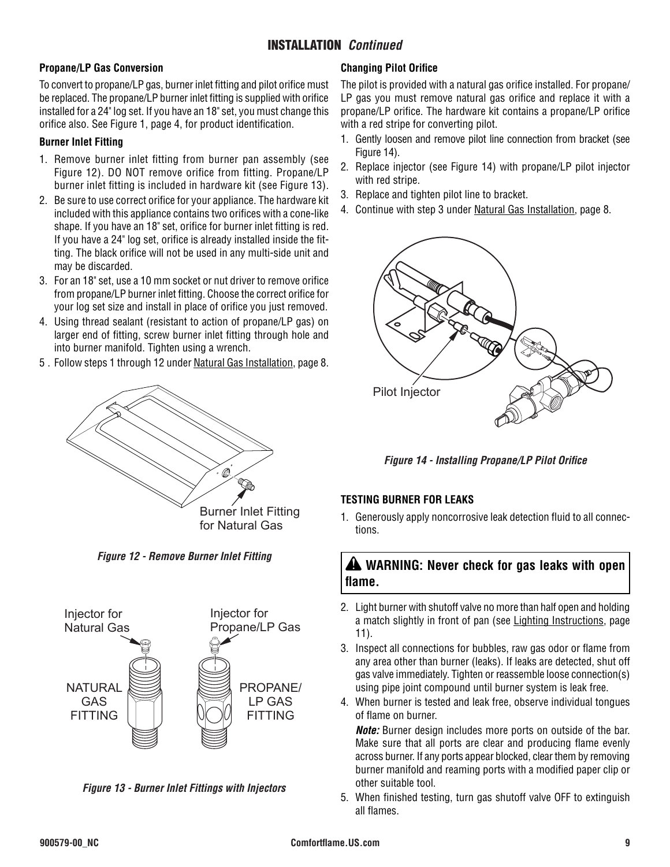### INSTALLATION *Continued*

#### **Propane/LP Gas Conversion**

To convert to propane/LP gas, burner inlet fitting and pilot orifice must be replaced. The propane/LP burner inlet fitting is supplied with orifice installed for a 24" log set. If you have an 18" set, you must change this orifice also. See Figure 1, page 4, for product identification.

#### **Burner Inlet Fitting**

- 1. Remove burner inlet fitting from burner pan assembly (see Figure 12). DO NOT remove orifice from fitting. Propane/LP burner inlet fitting is included in hardware kit (see Figure 13).
- 2. Be sure to use correct orifice for your appliance. The hardware kit included with this appliance contains two orifices with a cone-like shape. If you have an 18" set, orifice for burner inlet fitting is red. If you have a 24" log set, orifice is already installed inside the fitting. The black orifice will not be used in any multi-side unit and may be discarded.
- 3. For an 18" set, use a 10 mm socket or nut driver to remove orifice from propane/LP burner inlet fitting. Choose the correct orifice for your log set size and install in place of orifice you just removed.
- 4. Using thread sealant (resistant to action of propane/LP gas) on larger end of fitting, screw burner inlet fitting through hole and into burner manifold. Tighten using a wrench.
- 5 . Follow steps 1 through 12 under Natural Gas Installation, page 8.



*Figure 12 - Remove Burner Inlet Fitting*



*Figure 13 - Burner Inlet Fittings with Injectors*

#### **Changing Pilot Orifice**

The pilot is provided with a natural gas orifice installed. For propane/ LP gas you must remove natural gas orifice and replace it with a propane/LP orifice. The hardware kit contains a propane/LP orifice with a red stripe for converting pilot.

- 1. Gently loosen and remove pilot line connection from bracket (see Figure 14).
- 2. Replace injector (see Figure 14) with propane/LP pilot injector with red stripe.
- 3. Replace and tighten pilot line to bracket.
- 4. Continue with step 3 under Natural Gas Installation, page 8.



*Figure 14 - Installing Propane/LP Pilot Orifice*

#### **TESTING BURNER FOR LEAKS**

1. Generously apply noncorrosive leak detection fluid to all connections.

## **WARNING: Never check for gas leaks with open flame.**

- 2. Light burner with shutoff valve no more than half open and holding a match slightly in front of pan (see Lighting Instructions, page 11).
- 3. Inspect all connections for bubbles, raw gas odor or flame from any area other than burner (leaks). If leaks are detected, shut off gas valve immediately. Tighten or reassemble loose connection(s) using pipe joint compound until burner system is leak free.
- 4. When burner is tested and leak free, observe individual tongues of flame on burner.

*Note:* Burner design includes more ports on outside of the bar. Make sure that all ports are clear and producing flame evenly across burner. If any ports appear blocked, clear them by removing burner manifold and reaming ports with a modified paper clip or other suitable tool.

5. When finished testing, turn gas shutoff valve OFF to extinguish all flames.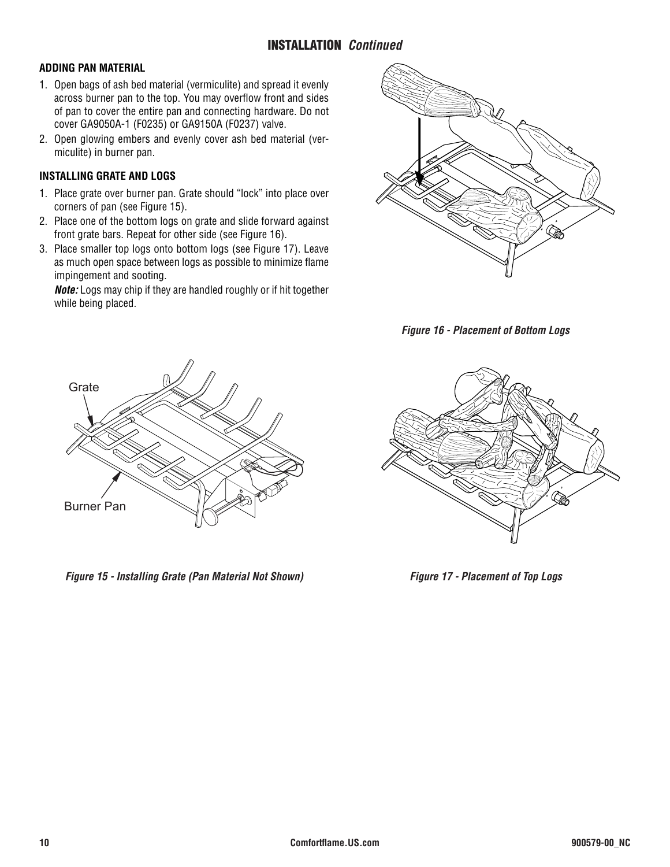#### **ADDING PAN MATERIAL**

- 1. Open bags of ash bed material (vermiculite) and spread it evenly across burner pan to the top. You may overflow front and sides of pan to cover the entire pan and connecting hardware. Do not cover GA9050A-1 (F0235) or GA9150A (F0237) valve.
- 2. Open glowing embers and evenly cover ash bed material (vermiculite) in burner pan.

#### **INSTALLING GRATE AND LOGS**

- 1. Place grate over burner pan. Grate should "lock" into place over corners of pan (see Figure 15).
- 2. Place one of the bottom logs on grate and slide forward against front grate bars. Repeat for other side (see Figure 16).
- 3. Place smaller top logs onto bottom logs (see Figure 17). Leave as much open space between logs as possible to minimize flame impingement and sooting.

*Note:* Logs may chip if they are handled roughly or if hit together while being placed.







*Figure 15 - Installing Grate (Pan Material Not Shown)* 



*Figure 17 - Placement of Top Logs*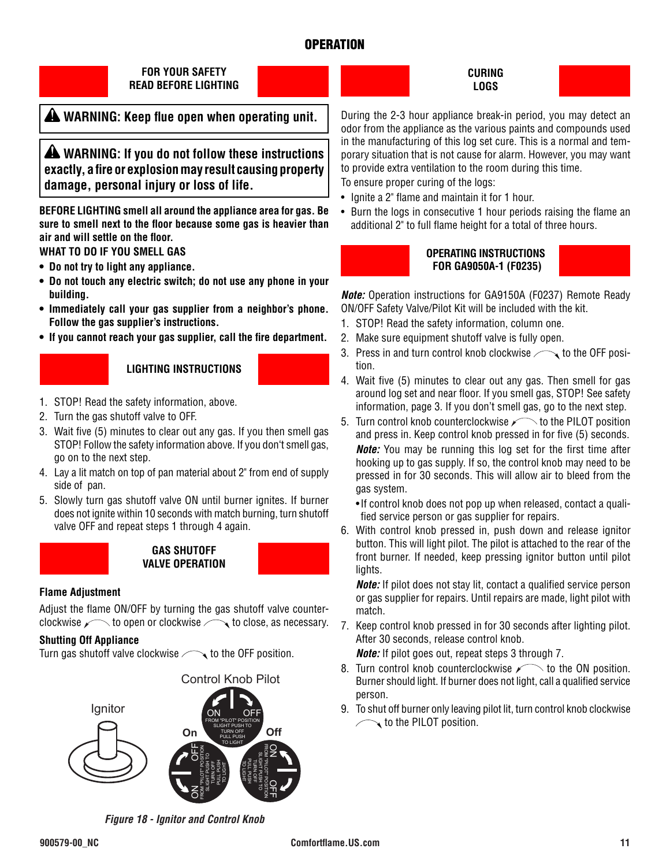### **OPERATION**



### **WARNING: Keep flue open when operating unit.**

 **WARNING: If you do not follow these instructions exactly, a fire or explosion may result causing property damage, personal injury or loss of life.**

**BEFORE LIGHTING smell all around the appliance area for gas. Be sure to smell next to the floor because some gas is heavier than air and will settle on the floor.**

**WHAT TO DO IF YOU SMELL GAS**

- **• Do not try to light any appliance.**
- **• Do not touch any electric switch; do not use any phone in your building.**
- **• Immediately call your gas supplier from a neighbor's phone. Follow the gas supplier's instructions.**
- **• If you cannot reach your gas supplier, call the fire department.**

#### **LIGHTING INSTRUCTIONS**

- 1. STOP! Read the safety information, above.
- 2. Turn the gas shutoff valve to OFF.
- 3. Wait five (5) minutes to clear out any gas. If you then smell gas STOP! Follow the safety information above. If you don't smell gas, go on to the next step.
- 4. Lay a lit match on top of pan material about 2" from end of supply side of pan.
- 5. Slowly turn gas shutoff valve ON until burner ignites. If burner does not ignite within 10 seconds with match burning, turn shutoff valve OFF and repeat steps 1 through 4 again.



**GAS SHUTOFF VALVE OPERATION**

#### **Flame Adjustment**

Adjust the flame ON/OFF by turning the gas shutoff valve counterclockwise  $\sim$  to open or clockwise  $\sim$  to close, as necessary.

#### **Shutting Off Appliance**

Turn gas shutoff valve clockwise  $\sim$  to the OFF position.



*Figure 18 - Ignitor and Control Knob*



During the 2-3 hour appliance break-in period, you may detect an odor from the appliance as the various paints and compounds used in the manufacturing of this log set cure. This is a normal and temporary situation that is not cause for alarm. However, you may want to provide extra ventilation to the room during this time.

To ensure proper curing of the logs:

- Ignite a 2" flame and maintain it for 1 hour.
- Burn the logs in consecutive 1 hour periods raising the flame an additional 2" to full flame height for a total of three hours.



#### **OPERATING INSTRUCTIONS FOR GA9050A-1 (F0235)**

*Note:* Operation instructions for GA9150A (F0237) Remote Ready ON/OFF Safety Valve/Pilot Kit will be included with the kit.

- 1. STOP! Read the safety information, column one.
- 2. Make sure equipment shutoff valve is fully open.
- 3. Press in and turn control knob clockwise  $\sim$  to the OFF position.
- 4. Wait five (5) minutes to clear out any gas. Then smell for gas around log set and near floor. If you smell gas, STOP! See safety information, page 3. If you don't smell gas, go to the next step.
- 5. Turn control knob counterclockwise  $\sim$  to the PILOT position and press in. Keep control knob pressed in for five (5) seconds. *Note:* You may be running this log set for the first time after hooking up to gas supply. If so, the control knob may need to be pressed in for 30 seconds. This will allow air to bleed from the gas system.
	- If control knob does not pop up when released, contact a qualified service person or gas supplier for repairs.
- 6. With control knob pressed in, push down and release ignitor button. This will light pilot. The pilot is attached to the rear of the front burner. If needed, keep pressing ignitor button until pilot lights.

*Note:* If pilot does not stay lit, contact a qualified service person or gas supplier for repairs. Until repairs are made, light pilot with match.

7. Keep control knob pressed in for 30 seconds after lighting pilot. After 30 seconds, release control knob.

*Note:* If pilot goes out, repeat steps 3 through 7.

- 8. Turn control knob counterclockwise  $\sim$  to the ON position. Burner should light. If burner does not light, call a qualified service person.
- 9. To shut off burner only leaving pilot lit, turn control knob clockwise  $\sim$  to the PILOT position.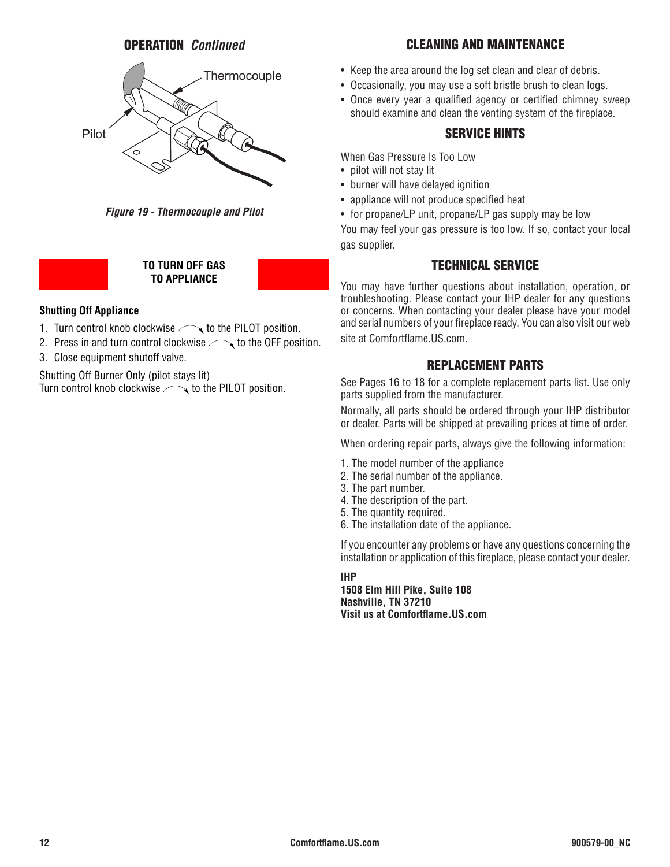### OPERATION *Continued*



*Figure 19 - Thermocouple and Pilot*

#### **TO TURN OFF GAS TO APPLIANCE**

#### **Shutting Off Appliance**

- 1. Turn control knob clockwise  $\sim$  to the PILOT position.
- 2. Press in and turn control clockwise  $\sim$  to the OFF position.
- 3. Close equipment shutoff valve.

Shutting Off Burner Only (pilot stays lit) Turn control knob clockwise  $\sim$  to the PILOT position.

### CLEANING AND MAINTENANCE

- Keep the area around the log set clean and clear of debris.
- Occasionally, you may use a soft bristle brush to clean logs.
- Once every year a qualified agency or certified chimney sweep should examine and clean the venting system of the fireplace.

#### SERVICE HINTS

When Gas Pressure Is Too Low

- pilot will not stay lit
- burner will have delayed ignition
- appliance will not produce specified heat
- for propane/LP unit, propane/LP gas supply may be low

You may feel your gas pressure is too low. If so, contact your local gas supplier.

#### TECHNICAL SERVICE

You may have further questions about installation, operation, or troubleshooting. Please contact your IHP dealer for any questions or concerns. When contacting your dealer please have your model and serial numbers of your fireplace ready. You can also visit our web site at Comfortflame.US.com.

#### REPLACEMENT PARTS

See Pages 16 to 18 for a complete replacement parts list. Use only parts supplied from the manufacturer.

Normally, all parts should be ordered through your IHP distributor or dealer. Parts will be shipped at prevailing prices at time of order.

When ordering repair parts, always give the following information:

- 1. The model number of the appliance
- 2. The serial number of the appliance.
- 3. The part number.
- 4. The description of the part.
- 5. The quantity required.
- 6. The installation date of the appliance.

If you encounter any problems or have any questions concerning the installation or application of this fireplace, please contact your dealer.

**IHP**

**1508 Elm Hill Pike, Suite 108 Nashville, TN 37210 Visit us at Comfortflame.US.com**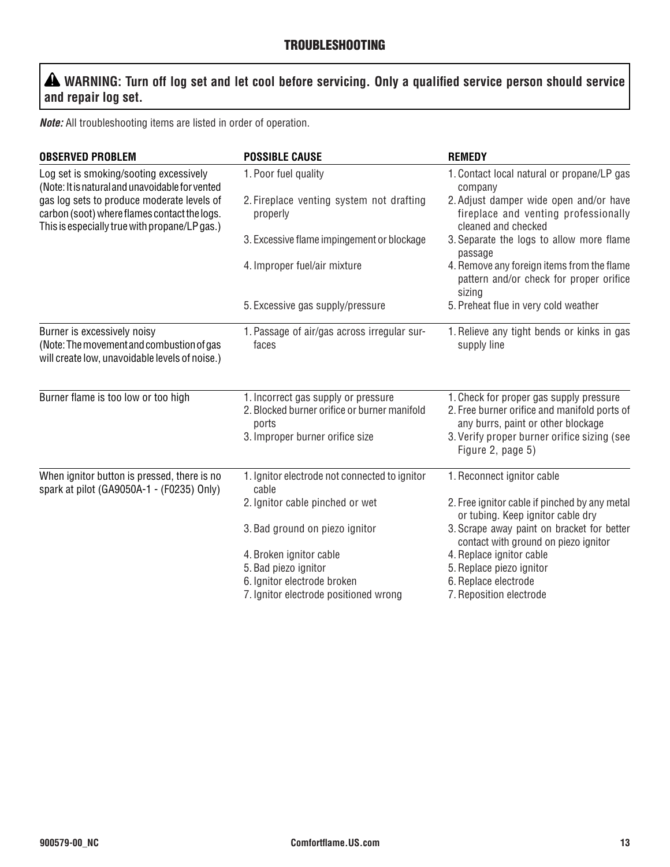## **WARNING: Turn off log set and let cool before servicing. Only a qualified service person should service and repair log set.**

*Note:* All troubleshooting items are listed in order of operation.

| <b>OBSERVED PROBLEM</b>                                                                                                                     | <b>POSSIBLE CAUSE</b>                                                               | <b>REMEDY</b>                                                                                         |
|---------------------------------------------------------------------------------------------------------------------------------------------|-------------------------------------------------------------------------------------|-------------------------------------------------------------------------------------------------------|
| Log set is smoking/sooting excessively<br>(Note: It is natural and unavoidable for vented                                                   | 1. Poor fuel quality                                                                | 1. Contact local natural or propane/LP gas<br>company                                                 |
| gas log sets to produce moderate levels of<br>carbon (soot) where flames contact the logs.<br>This is especially true with propane/LP gas.) | 2. Fireplace venting system not drafting<br>properly                                | 2. Adjust damper wide open and/or have<br>fireplace and venting professionally<br>cleaned and checked |
|                                                                                                                                             | 3. Excessive flame impingement or blockage                                          | 3. Separate the logs to allow more flame<br>passage                                                   |
|                                                                                                                                             | 4. Improper fuel/air mixture                                                        | 4. Remove any foreign items from the flame<br>pattern and/or check for proper orifice<br>sizing       |
|                                                                                                                                             | 5. Excessive gas supply/pressure                                                    | 5. Preheat flue in very cold weather                                                                  |
| Burner is excessively noisy<br>(Note: The movement and combustion of gas<br>will create low, unavoidable levels of noise.)                  | 1. Passage of air/gas across irregular sur-<br>faces                                | 1. Relieve any tight bends or kinks in gas<br>supply line                                             |
| Burner flame is too low or too high                                                                                                         | 1. Incorrect gas supply or pressure<br>2. Blocked burner orifice or burner manifold | 1. Check for proper gas supply pressure<br>2. Free burner orifice and manifold ports of               |
|                                                                                                                                             | ports                                                                               | any burrs, paint or other blockage                                                                    |
|                                                                                                                                             | 3. Improper burner orifice size                                                     | 3. Verify proper burner orifice sizing (see<br>Figure 2, page 5)                                      |
| When ignitor button is pressed, there is no<br>spark at pilot (GA9050A-1 - (F0235) Only)                                                    | 1. Ignitor electrode not connected to ignitor<br>cable                              | 1. Reconnect ignitor cable                                                                            |
|                                                                                                                                             | 2. Ignitor cable pinched or wet                                                     | 2. Free ignitor cable if pinched by any metal<br>or tubing. Keep ignitor cable dry                    |
|                                                                                                                                             | 3. Bad ground on piezo ignitor                                                      | 3. Scrape away paint on bracket for better<br>contact with ground on piezo ignitor                    |
|                                                                                                                                             | 4. Broken ignitor cable                                                             | 4. Replace ignitor cable                                                                              |
|                                                                                                                                             | 5. Bad piezo ignitor                                                                | 5. Replace piezo ignitor                                                                              |
|                                                                                                                                             | 6. Ignitor electrode broken                                                         | 6. Replace electrode                                                                                  |
|                                                                                                                                             | 7. Ignitor electrode positioned wrong                                               | 7. Reposition electrode                                                                               |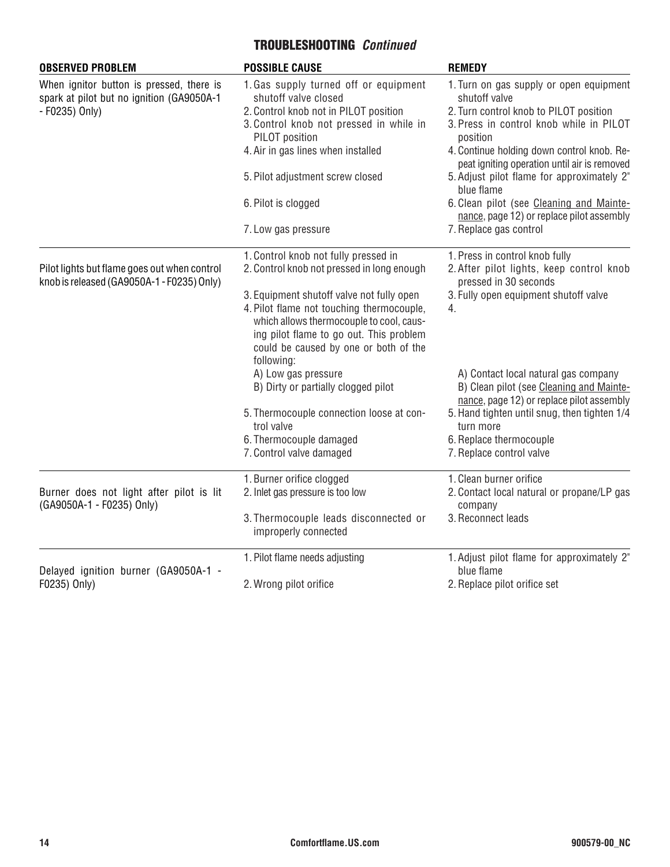## TROUBLESHOOTING *Continued*

| <b>OBSERVED PROBLEM</b>                                                                    | <b>POSSIBLE CAUSE</b>                                                                                                                                                     | <b>REMEDY</b>                                                                                                                 |
|--------------------------------------------------------------------------------------------|---------------------------------------------------------------------------------------------------------------------------------------------------------------------------|-------------------------------------------------------------------------------------------------------------------------------|
| When ignitor button is pressed, there is<br>spark at pilot but no ignition (GA9050A-1      | 1. Gas supply turned off or equipment<br>shutoff valve closed                                                                                                             | 1. Turn on gas supply or open equipment<br>shutoff valve                                                                      |
| - F0235) Only)                                                                             | 2. Control knob not in PILOT position                                                                                                                                     | 2. Turn control knob to PILOT position                                                                                        |
|                                                                                            | 3. Control knob not pressed in while in<br>PILOT position                                                                                                                 | 3. Press in control knob while in PILOT<br>position                                                                           |
|                                                                                            | 4. Air in gas lines when installed                                                                                                                                        | 4. Continue holding down control knob. Re-<br>peat igniting operation until air is removed                                    |
|                                                                                            | 5. Pilot adjustment screw closed                                                                                                                                          | 5. Adjust pilot flame for approximately 2"<br>blue flame                                                                      |
|                                                                                            | 6. Pilot is clogged                                                                                                                                                       | 6. Clean pilot (see Cleaning and Mainte-<br>nance, page 12) or replace pilot assembly                                         |
|                                                                                            | 7. Low gas pressure                                                                                                                                                       | 7. Replace gas control                                                                                                        |
|                                                                                            | 1. Control knob not fully pressed in                                                                                                                                      | 1. Press in control knob fully                                                                                                |
| Pilot lights but flame goes out when control<br>knob is released (GA9050A-1 - F0235) Only) | 2. Control knob not pressed in long enough                                                                                                                                | 2. After pilot lights, keep control knob<br>pressed in 30 seconds                                                             |
|                                                                                            | 3. Equipment shutoff valve not fully open                                                                                                                                 | 3. Fully open equipment shutoff valve                                                                                         |
|                                                                                            | 4. Pilot flame not touching thermocouple,<br>which allows thermocouple to cool, caus-<br>ing pilot flame to go out. This problem<br>could be caused by one or both of the | 4.                                                                                                                            |
|                                                                                            | following:                                                                                                                                                                |                                                                                                                               |
|                                                                                            | A) Low gas pressure<br>B) Dirty or partially clogged pilot                                                                                                                | A) Contact local natural gas company<br>B) Clean pilot (see Cleaning and Mainte-<br>nance, page 12) or replace pilot assembly |
|                                                                                            | 5. Thermocouple connection loose at con-                                                                                                                                  | 5. Hand tighten until snug, then tighten 1/4                                                                                  |
|                                                                                            | trol valve                                                                                                                                                                | turn more                                                                                                                     |
|                                                                                            | 6. Thermocouple damaged                                                                                                                                                   | 6. Replace thermocouple                                                                                                       |
|                                                                                            | 7. Control valve damaged                                                                                                                                                  | 7. Replace control valve                                                                                                      |
|                                                                                            | 1. Burner orifice clogged                                                                                                                                                 | 1. Clean burner orifice                                                                                                       |
| Burner does not light after pilot is lit<br>(GA9050A-1 - F0235) Only)                      | 2. Inlet gas pressure is too low                                                                                                                                          | 2. Contact local natural or propane/LP gas<br>company                                                                         |
|                                                                                            | 3. Thermocouple leads disconnected or<br>improperly connected                                                                                                             | 3. Reconnect leads                                                                                                            |
| Delayed ignition burner (GA9050A-1 -                                                       | 1. Pilot flame needs adjusting                                                                                                                                            | 1. Adjust pilot flame for approximately 2"<br>blue flame                                                                      |
| F0235) Only)                                                                               | 2. Wrong pilot orifice                                                                                                                                                    | 2. Replace pilot orifice set                                                                                                  |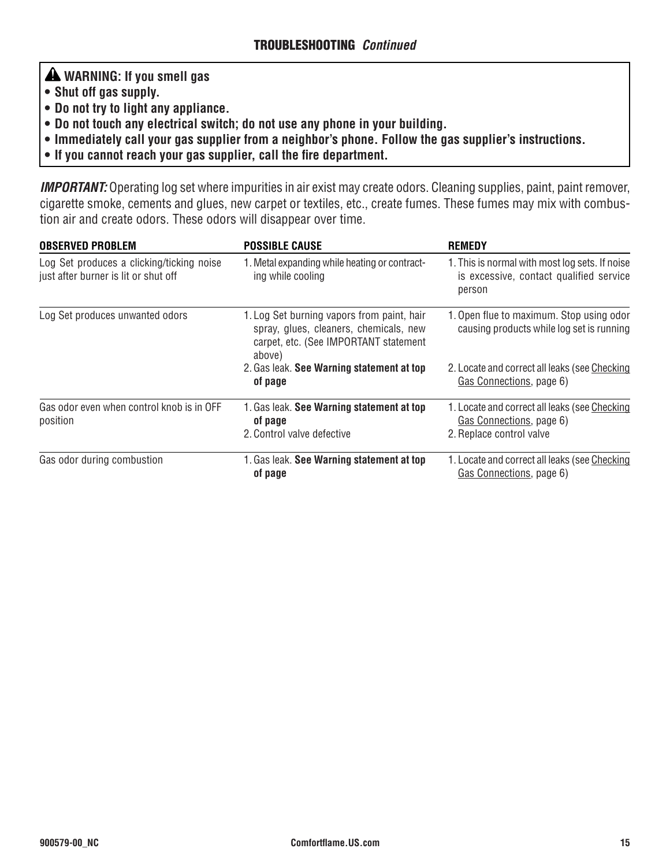# **WARNING: If you smell gas**

- **• Shut off gas supply.**
- **• Do not try to light any appliance.**
- **• Do not touch any electrical switch; do not use any phone in your building.**
- **• Immediately call your gas supplier from a neighbor's phone. Follow the gas supplier's instructions.**
- **• If you cannot reach your gas supplier, call the fire department.**

*IMPORTANT:* Operating log set where impurities in air exist may create odors. Cleaning supplies, paint, paint remover, cigarette smoke, cements and glues, new carpet or textiles, etc., create fumes. These fumes may mix with combustion air and create odors. These odors will disappear over time.

| <b>OBSERVED PROBLEM</b>                                                           | <b>POSSIBLE CAUSE</b>                                                                                                                   | <b>REMEDY</b>                                                                                         |
|-----------------------------------------------------------------------------------|-----------------------------------------------------------------------------------------------------------------------------------------|-------------------------------------------------------------------------------------------------------|
| Log Set produces a clicking/ticking noise<br>just after burner is lit or shut off | 1. Metal expanding while heating or contract-<br>ing while cooling                                                                      | 1. This is normal with most log sets. If noise<br>is excessive, contact qualified service<br>person   |
| Log Set produces unwanted odors                                                   | 1. Log Set burning vapors from paint, hair<br>spray, glues, cleaners, chemicals, new<br>carpet, etc. (See IMPORTANT statement<br>above) | 1. Open flue to maximum. Stop using odor<br>causing products while log set is running                 |
|                                                                                   | 2. Gas leak. See Warning statement at top<br>of page                                                                                    | 2. Locate and correct all leaks (see Checking<br>Gas Connections, page 6)                             |
| Gas odor even when control knob is in OFF<br>position                             | 1. Gas leak. See Warning statement at top<br>of page<br>2. Control valve defective                                                      | 1. Locate and correct all leaks (see Checking<br>Gas Connections, page 6)<br>2. Replace control valve |
| Gas odor during combustion                                                        | 1. Gas leak. See Warning statement at top<br>of page                                                                                    | 1. Locate and correct all leaks (see Checking<br>Gas Connections, page 6)                             |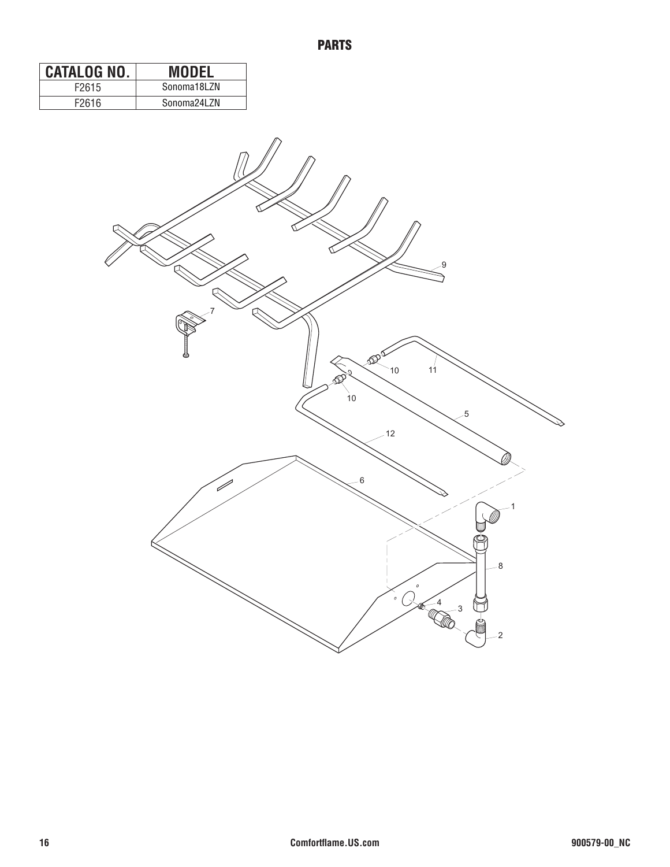| CATALOG NO. | <b>MODEL</b> |
|-------------|--------------|
| F2615       | Sonoma18I 7N |
| F2616       | Sonoma24LZN  |

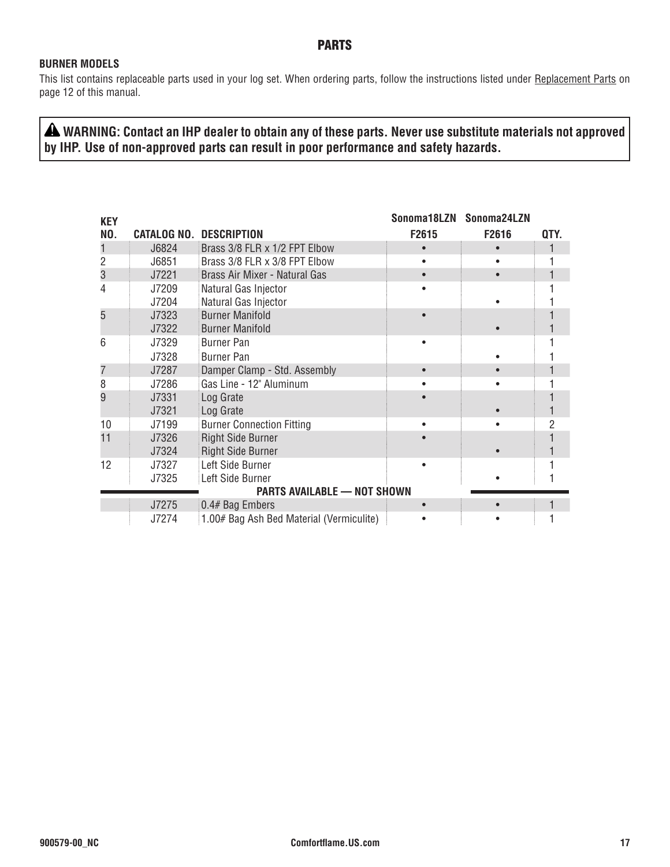### PARTS

#### **BURNER MODELS**

This list contains replaceable parts used in your log set. When ordering parts, follow the instructions listed under Replacement Parts on page 12 of this manual.

 **WARNING: Contact an IHP dealer to obtain any of these parts. Never use substitute materials not approved by IHP. Use of non-approved parts can result in poor performance and safety hazards.**

| <b>KEY</b> |                    |                                          | Sonoma18LZN | Sonoma24LZN |      |
|------------|--------------------|------------------------------------------|-------------|-------------|------|
| NO.        | <b>CATALOG NO.</b> | <b>DESCRIPTION</b>                       | F2615       | F2616       | QTY. |
|            | J6824              | Brass 3/8 FLR x 1/2 FPT Elbow            |             |             |      |
| 2          | J6851              | Brass 3/8 FLR x 3/8 FPT Elbow            |             |             |      |
| 3          | J7221              | Brass Air Mixer - Natural Gas            |             | $\bullet$   |      |
| 4          | J7209              | Natural Gas Injector                     |             |             |      |
|            | J7204              | Natural Gas Injector                     |             |             |      |
| 5          | J7323              | <b>Burner Manifold</b>                   |             |             |      |
|            | J7322              | <b>Burner Manifold</b>                   |             |             |      |
| 6          | J7329              | <b>Burner Pan</b>                        |             |             |      |
|            | J7328              | Burner Pan                               |             |             |      |
| 7          | J7287              | Damper Clamp - Std. Assembly             |             |             |      |
| 8          | J7286              | Gas Line - 12" Aluminum                  |             |             |      |
| 9          | J7331              | Log Grate                                |             |             |      |
|            | J7321              | Log Grate                                |             |             |      |
| 10         | J7199              | <b>Burner Connection Fitting</b>         |             |             | 2    |
| 11         | J7326              | <b>Right Side Burner</b>                 |             |             |      |
|            | J7324              | <b>Right Side Burner</b>                 |             |             |      |
| 12         | J7327              | Left Side Burner                         |             |             |      |
|            | J7325              | Left Side Burner                         |             |             |      |
|            |                    | PARTS AVAILABLE - NOT SHOWN              |             |             |      |
|            | J7275              | 0.4# Bag Embers                          |             |             |      |
|            | J7274              | 1.00# Bag Ash Bed Material (Vermiculite) |             |             |      |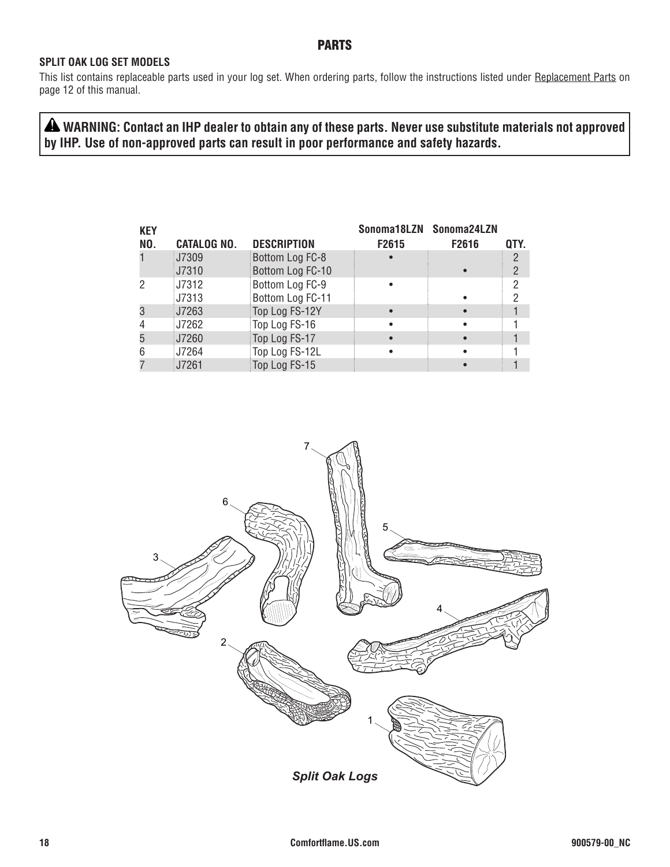### PARTS

#### **SPLIT OAK LOG SET MODELS**

This list contains replaceable parts used in your log set. When ordering parts, follow the instructions listed under Replacement Parts on page 12 of this manual.

 **WARNING: Contact an IHP dealer to obtain any of these parts. Never use substitute materials not approved by IHP. Use of non-approved parts can result in poor performance and safety hazards.**

| QTY. |
|------|
|      |
| 2    |
| 2    |
| 2    |
|      |
|      |
|      |
|      |
|      |
|      |

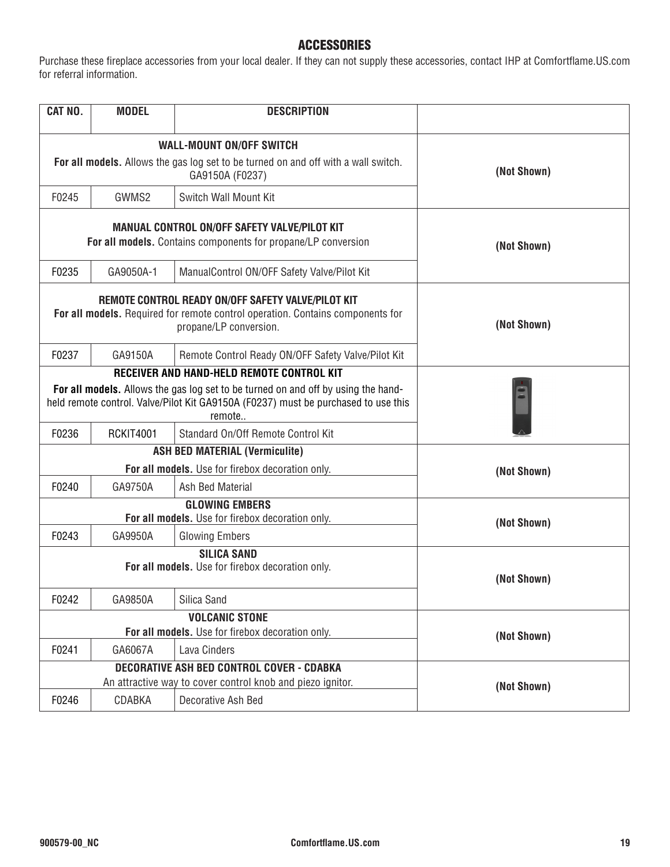#### ACCESSORIES

Purchase these fireplace accessories from your local dealer. If they can not supply these accessories, contact IHP at Comfortflame.US.com for referral information.

| CAT NO.                                                                                                                                                                           | <b>MODEL</b>     | <b>DESCRIPTION</b>                                                                                                                                             |             |  |
|-----------------------------------------------------------------------------------------------------------------------------------------------------------------------------------|------------------|----------------------------------------------------------------------------------------------------------------------------------------------------------------|-------------|--|
|                                                                                                                                                                                   |                  | <b>WALL-MOUNT ON/OFF SWITCH</b>                                                                                                                                |             |  |
|                                                                                                                                                                                   |                  | For all models. Allows the gas log set to be turned on and off with a wall switch.<br>GA9150A (F0237)                                                          | (Not Shown) |  |
| F0245                                                                                                                                                                             | GWMS2            | Switch Wall Mount Kit                                                                                                                                          |             |  |
|                                                                                                                                                                                   |                  | <b>MANUAL CONTROL ON/OFF SAFETY VALVE/PILOT KIT</b><br>For all models. Contains components for propane/LP conversion                                           | (Not Shown) |  |
| F0235                                                                                                                                                                             | GA9050A-1        | ManualControl ON/OFF Safety Valve/Pilot Kit                                                                                                                    |             |  |
|                                                                                                                                                                                   |                  | REMOTE CONTROL READY ON/OFF SAFETY VALVE/PILOT KIT<br>For all models. Required for remote control operation. Contains components for<br>propane/LP conversion. | (Not Shown) |  |
| F0237                                                                                                                                                                             | GA9150A          | Remote Control Ready ON/OFF Safety Valve/Pilot Kit                                                                                                             |             |  |
|                                                                                                                                                                                   |                  | RECEIVER AND HAND-HELD REMOTE CONTROL KIT                                                                                                                      |             |  |
| For all models. Allows the gas log set to be turned on and off by using the hand-<br>held remote control. Valve/Pilot Kit GA9150A (F0237) must be purchased to use this<br>remote |                  |                                                                                                                                                                |             |  |
| F0236                                                                                                                                                                             | <b>RCKIT4001</b> | Standard On/Off Remote Control Kit                                                                                                                             |             |  |
|                                                                                                                                                                                   |                  | <b>ASH BED MATERIAL (Vermiculite)</b>                                                                                                                          | (Not Shown) |  |
|                                                                                                                                                                                   |                  | For all models. Use for firebox decoration only.                                                                                                               |             |  |
| F0240                                                                                                                                                                             | GA9750A          | Ash Bed Material                                                                                                                                               |             |  |
|                                                                                                                                                                                   |                  | <b>GLOWING EMBERS</b>                                                                                                                                          |             |  |
| For all models. Use for firebox decoration only.                                                                                                                                  |                  |                                                                                                                                                                | (Not Shown) |  |
| F0243                                                                                                                                                                             | GA9950A          | <b>Glowing Embers</b>                                                                                                                                          |             |  |
|                                                                                                                                                                                   |                  | <b>SILICA SAND</b><br>For all models. Use for firebox decoration only.                                                                                         | (Not Shown) |  |
| F0242                                                                                                                                                                             | GA9850A          | Silica Sand                                                                                                                                                    |             |  |
|                                                                                                                                                                                   |                  | <b>VOLCANIC STONE</b>                                                                                                                                          |             |  |
|                                                                                                                                                                                   |                  | For all models. Use for firebox decoration only.                                                                                                               | (Not Shown) |  |
| F0241                                                                                                                                                                             | GA6067A          | Lava Cinders                                                                                                                                                   |             |  |
|                                                                                                                                                                                   |                  | <b>DECORATIVE ASH BED CONTROL COVER - CDABKA</b>                                                                                                               |             |  |
|                                                                                                                                                                                   |                  | An attractive way to cover control knob and piezo ignitor.                                                                                                     | (Not Shown) |  |
| F0246                                                                                                                                                                             | CDABKA           | Decorative Ash Bed                                                                                                                                             |             |  |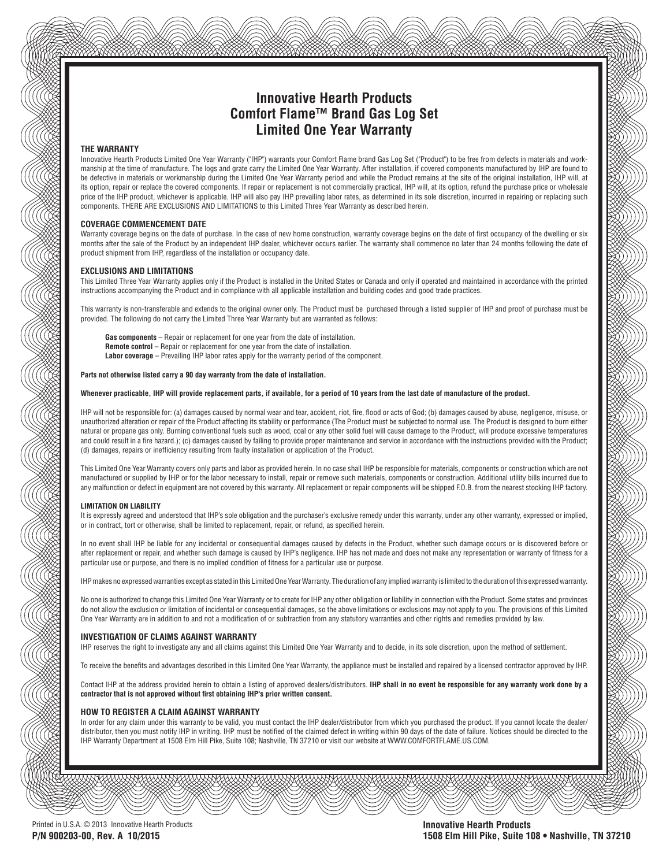### **Innovative Hearth Products Comfort Flame™ Brand Gas Log Set Limited One Year Warranty**

#### **THE WARRANTY**

Innovative Hearth Products Limited One Year Warranty ("IHP") warrants your Comfort Flame brand Gas Log Set ("Product") to be free from defects in materials and workmanship at the time of manufacture. The logs and grate carry the Limited One Year Warranty. After installation, if covered components manufactured by IHP are found to be defective in materials or workmanship during the Limited One Year Warranty period and while the Product remains at the site of the original installation, IHP will, at its option, repair or replace the covered components. If repair or replacement is not commercially practical, IHP will, at its option, refund the purchase price or wholesale price of the IHP product, whichever is applicable. IHP will also pay IHP prevailing labor rates, as determined in its sole discretion, incurred in repairing or replacing such components. THERE ARE EXCLUSIONS AND LIMITATIONS to this Limited Three Year Warranty as described herein.

#### **COVERAGE COMMENCEMENT DATE**

Warranty coverage begins on the date of purchase. In the case of new home construction, warranty coverage begins on the date of first occupancy of the dwelling or six months after the sale of the Product by an independent IHP dealer, whichever occurs earlier. The warranty shall commence no later than 24 months following the date of product shipment from IHP, regardless of the installation or occupancy date.

#### **EXCLUSIONS AND LIMITATIONS**

This Limited Three Year Warranty applies only if the Product is installed in the United States or Canada and only if operated and maintained in accordance with the printed instructions accompanying the Product and in compliance with all applicable installation and building codes and good trade practices.

This warranty is non-transferable and extends to the original owner only. The Product must be purchased through a listed supplier of IHP and proof of purchase must be provided. The following do not carry the Limited Three Year Warranty but are warranted as follows:

Gas components - Repair or replacement for one year from the date of installation. **Remote control** – Repair or replacement for one year from the date of installation. Labor coverage – Prevailing IHP labor rates apply for the warranty period of the component.

#### **Parts not otherwise listed carry a 90 day warranty from the date of installation.**

#### **Whenever practicable, IHP will provide replacement parts, if available, for a period of 10 years from the last date of manufacture of the product.**

IHP will not be responsible for: (a) damages caused by normal wear and tear, accident, riot, fire, flood or acts of God; (b) damages caused by abuse, negligence, misuse, or unauthorized alteration or repair of the Product affecting its stability or performance (The Product must be subjected to normal use. The Product is designed to burn either natural or propane gas only. Burning conventional fuels such as wood, coal or any other solid fuel will cause damage to the Product, will produce excessive temperatures and could result in a fi re hazard.); (c) damages caused by failing to provide proper maintenance and service in accordance with the instructions provided with the Product; (d) damages, repairs or inefficiency resulting from faulty installation or application of the Product.

This Limited One Year Warranty covers only parts and labor as provided herein. In no case shall IHP be responsible for materials, components or construction which are not manufactured or supplied by IHP or for the labor necessary to install, repair or remove such materials, components or construction. Additional utility bills incurred due to any malfunction or defect in equipment are not covered by this warranty. All replacement or repair components will be shipped F.O.B. from the nearest stocking IHP factory.

#### **LIMITATION ON LIABILITY**

It is expressly agreed and understood that IHP's sole obligation and the purchaser's exclusive remedy under this warranty, under any other warranty, expressed or implied. or in contract, tort or otherwise, shall be limited to replacement, repair, or refund, as specified herein.

In no event shall IHP be liable for any incidental or consequential damages caused by defects in the Product, whether such damage occurs or is discovered before or after replacement or repair, and whether such damage is caused by IHP's negligence. IHP has not made and does not make any representation or warranty of fitness for a particular use or purpose, and there is no implied condition of fitness for a particular use or purpose.

IHP makes no expressed warranties except as stated in this Limited One Year Warranty. The duration of any implied warranty is limited to the duration of this expressed warranty.

No one is authorized to change this Limited One Year Warranty or to create for IHP any other obligation or liability in connection with the Product. Some states and provinces do not allow the exclusion or limitation of incidental or consequential damages, so the above limitations or exclusions may not apply to you. The provisions of this Limited One Year Warranty are in addition to and not a modification of or subtraction from any statutory warranties and other rights and remedies provided by law.

#### **INVESTIGATION OF CLAIMS AGAINST WARRANTY**

IHP reserves the right to investigate any and all claims against this Limited One Year Warranty and to decide, in its sole discretion, upon the method of settlement.

To receive the benefits and advantages described in this Limited One Year Warranty, the appliance must be installed and repaired by a licensed contractor approved by IHP.

Contact IHP at the address provided herein to obtain a listing of approved dealers/distributors. **IHP shall in no event be responsible for any warranty work done by a**  contractor that is not approved without first obtaining IHP's prior written consent.

#### **HOW TO REGISTER A CLAIM AGAINST WARRANTY**

In order for any claim under this warranty to be valid, you must contact the IHP dealer/distributor from which you purchased the product. If you cannot locate the dealer/ distributor, then you must notify IHP in writing. IHP must be notified of the claimed defect in writing within 90 days of the date of failure. Notices should be directed to the IHP Warranty Department at 1508 Elm Hill Pike, Suite 108; Nashville, TN 37210 or visit our website at WWW.COMFORTFLAME.US.COM.